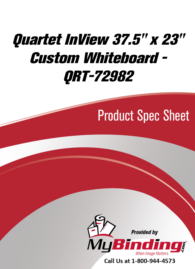# [Quartet InView 37.5" x 23"](https://www.mybinding.com/quartet-inview-custom-whiteboard.html?sku=QRT-72982)  Custom Whiteboard - QRT-72982

## Product Spec Sheet



Call Us at 1-800-944-4573